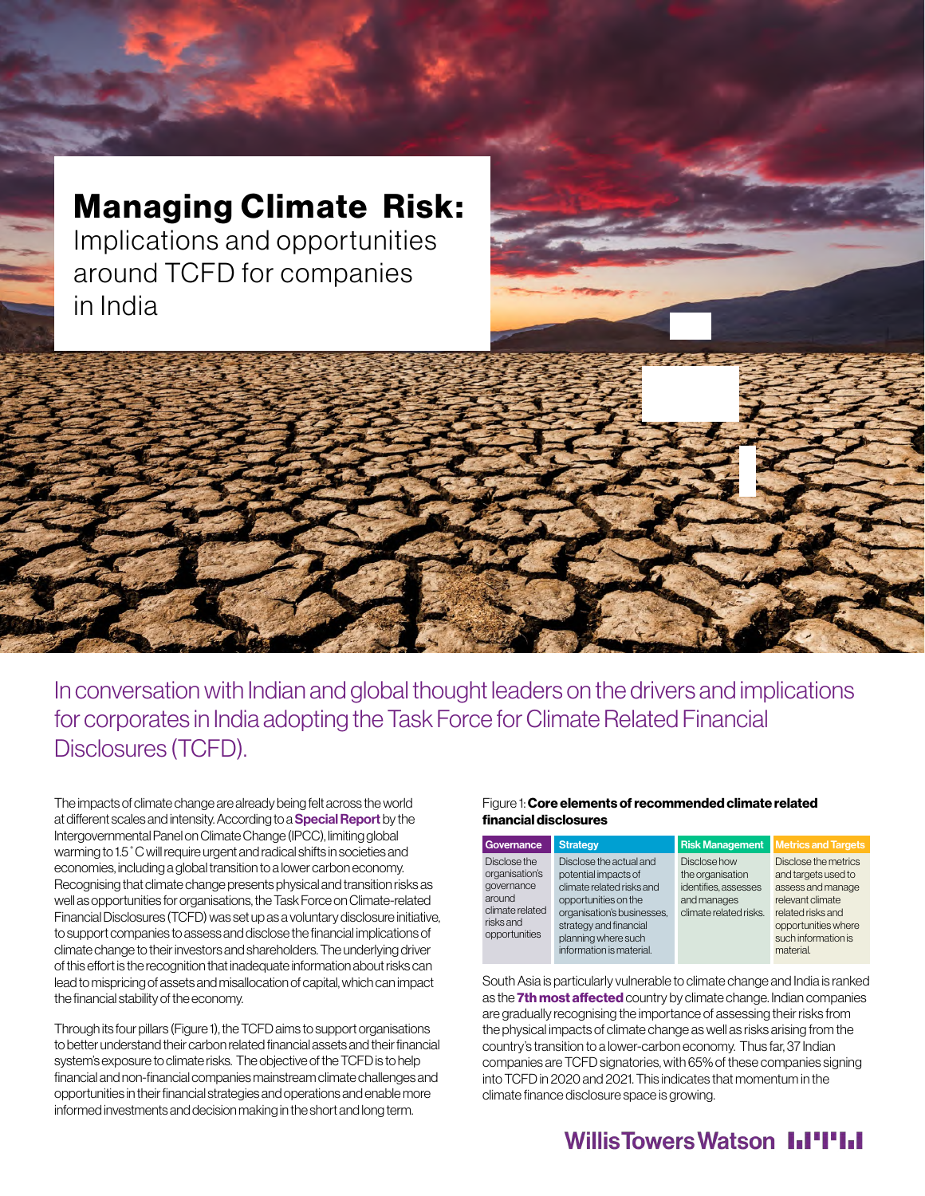# Managing Climate Risk:

Implications and opportunities around TCFD for companies in India

In conversation with Indian and global thought leaders on the drivers and implications for corporates in India adopting the Task Force for Climate Related Financial Disclosures (TCFD).

The impacts of climate change are already being felt across the world at different scales and intensity. According to a **[Special Report](https://www.ipcc.ch/sr15/)** by the Intergovernmental Panel on Climate Change (IPCC), limiting global warming to 1.5˚C will require urgent and radical shifts in societies and economies, including a global transition to a lower carbon economy. Recognising that climate change presents physical and transition risks as well as opportunities for organisations, the Task Force on Climate-related Financial Disclosures (TCFD) was set up as a voluntary disclosure initiative, to support companies to assess and disclose the financial implications of climate change to their investors and shareholders. The underlying driver of this effort is the recognition that inadequate information about risks can lead to mispricing of assets and misallocation of capital, which can impact the financial stability of the economy.

Through its four pillars (Figure 1), the TCFD aims to support organisations to better understand their carbon related financial assets and their financial system's exposure to climate risks. The objective of the TCFD is to help financial and non-financial companies mainstream climate challenges and opportunities in their financial strategies and operations and enable more informed investments and decision making in the short and long term.

#### Figure 1: Core elements of recommended climate related financial disclosures

| Governance                                                                                              | <b>Strategy</b>                                                                                                                                                                                                 | <b>Risk Management</b>                                                                            | <b>Metrics and Targets</b>                                                                                                                                           |
|---------------------------------------------------------------------------------------------------------|-----------------------------------------------------------------------------------------------------------------------------------------------------------------------------------------------------------------|---------------------------------------------------------------------------------------------------|----------------------------------------------------------------------------------------------------------------------------------------------------------------------|
| Disclose the<br>organisation's<br>governance<br>around<br>climate related<br>risks and<br>opportunities | Disclose the actual and<br>potential impacts of<br>climate related risks and<br>opportunities on the<br>organisation's businesses.<br>strategy and financial<br>planning where such<br>information is material. | Disclose how<br>the organisation<br>identifies, assesses<br>and manages<br>climate related risks. | Disclose the metrics<br>and targets used to<br>assess and manage<br>relevant climate<br>related risks and<br>opportunities where<br>such information is<br>material. |

South Asia is particularly vulnerable to climate change and India is ranked as the [7th most affected](https://germanwatch.org/sites/default/files/Global%20Climate%20Risk%20Index%202021_2.pdf) country by climate change. Indian companies are gradually recognising the importance of assessing their risks from the physical impacts of climate change as well as risks arising from the country's transition to a lower-carbon economy. Thus far, 37 Indian companies are TCFD signatories, with 65% of these companies signing into TCFD in 2020 and 2021. This indicates that momentum in the climate finance disclosure space is growing.

## **WillisTowersWatson I.I'I'I.I**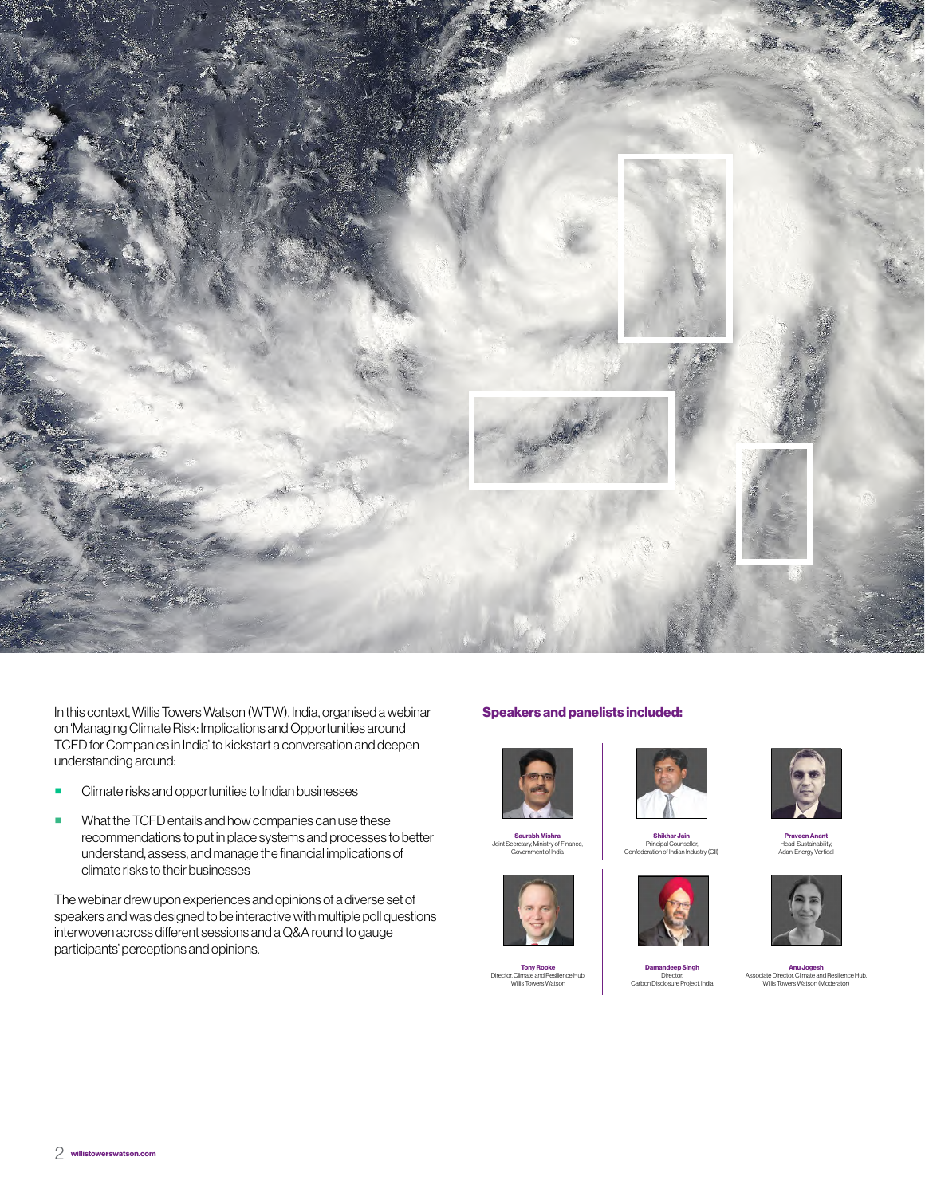

In this context, Willis Towers Watson (WTW), India, organised a webinar on 'Managing Climate Risk: Implications and Opportunities around TCFD for Companies in India' to kickstart a conversation and deepen understanding around:

- **EXECUTE:** Climate risks and opportunities to Indian businesses
- What the TCFD entails and how companies can use these recommendations to put in place systems and processes to better understand, assess, and manage the financial implications of climate risks to their businesses

The webinar drew upon experiences and opinions of a diverse set of speakers and was designed to be interactive with multiple poll questions interwoven across different sessions and a Q&A round to gauge participants' perceptions and opinions.

#### Speakers and panelists included:



**Saurabh Mishra**<br>Joint Secretary, Ministry of Finance, Government of India

**Tony Rooke**<br>Director, Climate and Resilience Hub,<br>Willis Towers Watson







Damandeep Singh Director, Carbon Disclosure Project, India



Praveen Anant Head-Sustainability, Adani Energy Vertical



Anu Jogesh Associate Director, Climate and Resilience Hub, Willis Towers Watson (Moderator)

Confederation of Indian Industry (CII)

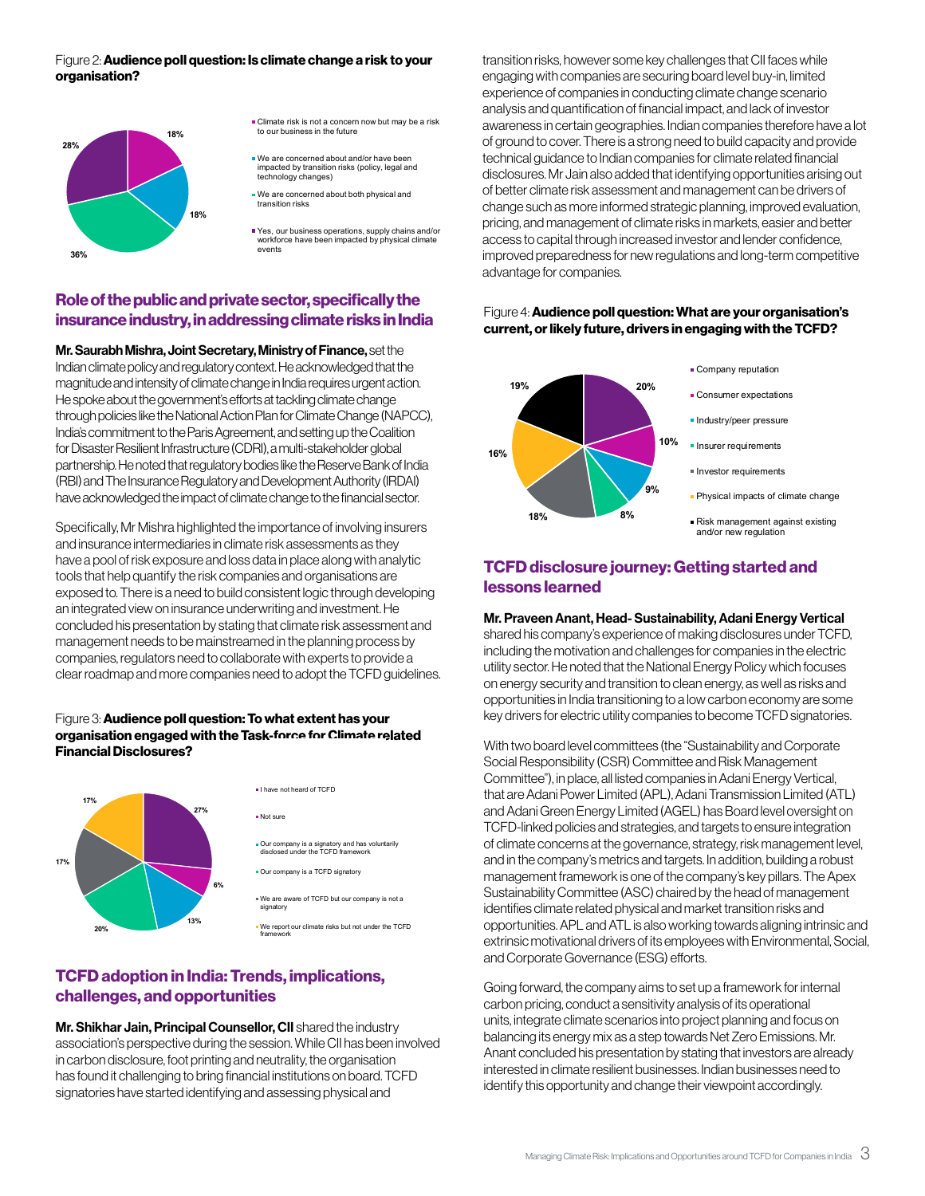#### Figure 2: **Audience poll question: Is climate change a risk to your** organisation?



- **Climate risk is not a concern now but may be a risk** to our business in the future
- We are concerned about and/or have been impacted by transition risks (policy, legal and technology changes)
- We are concerned about both physical and transition risks
- Yes, our business operations, supply chains and/or workforce have been impacted by physical climate events

#### Role of the public and private sector, specifically the insurance industry, in addressing climate risks in India

Mr. Saurabh Mishra, Joint Secretary, Ministry of Finance, set the Indian climate policy and regulatory context. He acknowledged that the magnitude and intensity of climate change in India requires urgent action. He spoke about the government's efforts at tackling climate change through policies like the National Action Plan for Climate Change (NAPCC), India's commitment to the Paris Agreement, and setting up the Coalition for Disaster Resilient Infrastructure (CDRI), a multi-stakeholder global partnership. He noted that regulatory bodies like the Reserve Bank of India (RBI) and The Insurance Regulatory and Development Authority (IRDAI) have acknowledged the impact of climate change to the financial sector.

Specifically, Mr Mishra highlighted the importance of involving insurers and insurance intermediaries in climate risk assessments as they have a pool of risk exposure and loss data in place along with analytic tools that help quantify the risk companies and organisations are exposed to. There is a need to build consistent logic through developing an integrated view on insurance underwriting and investment. He concluded his presentation by stating that climate risk assessment and management needs to be mainstreamed in the planning process by companies, regulators need to collaborate with experts to provide a clear roadmap and more companies need to adopt the TCFD guidelines.

#### Figure 3: Audience poll question: To what extent has your organisation engaged with the Task-force for Climate related Financial Disclosures?



### TCFD adoption in India: Trends, implications, challenges, and opportunities

Mr. Shikhar Jain, Principal Counsellor, CII shared the industry association's perspective during the session. While CII has been involved in carbon disclosure, foot printing and neutrality, the organisation has found it challenging to bring financial institutions on board. TCFD signatories have started identifying and assessing physical and

transition risks, however some key challenges that CII faces while engaging with companies are securing board level buy-in, limited experience of companies in conducting climate change scenario analysis and quantification of financial impact, and lack of investor awareness in certain geographies. Indian companies therefore have a lot of ground to cover. There is a strong need to build capacity and provide technical guidance to Indian companies for climate related financial disclosures. Mr Jain also added that identifying opportunities arising out of better climate risk assessment and management can be drivers of change such as more informed strategic planning, improved evaluation, pricing, and management of climate risks in markets, easier and better access to capital through increased investor and lender confidence, improved preparedness for new regulations and long-term competitive advantage for companies.

#### Figure 4: Audience poll question: What are your organisation's current, or likely future, drivers in engaging with the TCFD?



#### TCFD disclosure journey: Getting started and lessons learned

#### Mr. Praveen Anant, Head- Sustainability, Adani Energy Vertical

shared his company's experience of making disclosures under TCFD, including the motivation and challenges for companies in the electric utility sector. He noted that the National Energy Policy which focuses on energy security and transition to clean energy, as well as risks and opportunities in India transitioning to a low carbon economy are some key drivers for electric utility companies to become TCFD signatories.

With two board level committees (the "Sustainability and Corporate Social Responsibility (CSR) Committee and Risk Management Committee"), in place, all listed companies in Adani Energy Vertical, that are Adani Power Limited (APL), Adani Transmission Limited (ATL) and Adani Green Energy Limited (AGEL) has Board level oversight on TCFD-linked policies and strategies, and targets to ensure integration of climate concerns at the governance, strategy, risk management level, and in the company's metrics and targets. In addition, building a robust management framework is one of the company's key pillars. The Apex Sustainability Committee (ASC) chaired by the head of management identifies climate related physical and market transition risks and opportunities. APL and ATL is also working towards aligning intrinsic and extrinsic motivational drivers of its employees with Environmental, Social, and Corporate Governance (ESG) efforts.

Going forward, the company aims to set up a framework for internal carbon pricing, conduct a sensitivity analysis of its operational units, integrate climate scenarios into project planning and focus on balancing its energy mix as a step towards Net Zero Emissions. Mr. Anant concluded his presentation by stating that investors are already interested in climate resilient businesses. Indian businesses need to identify this opportunity and change their viewpoint accordingly.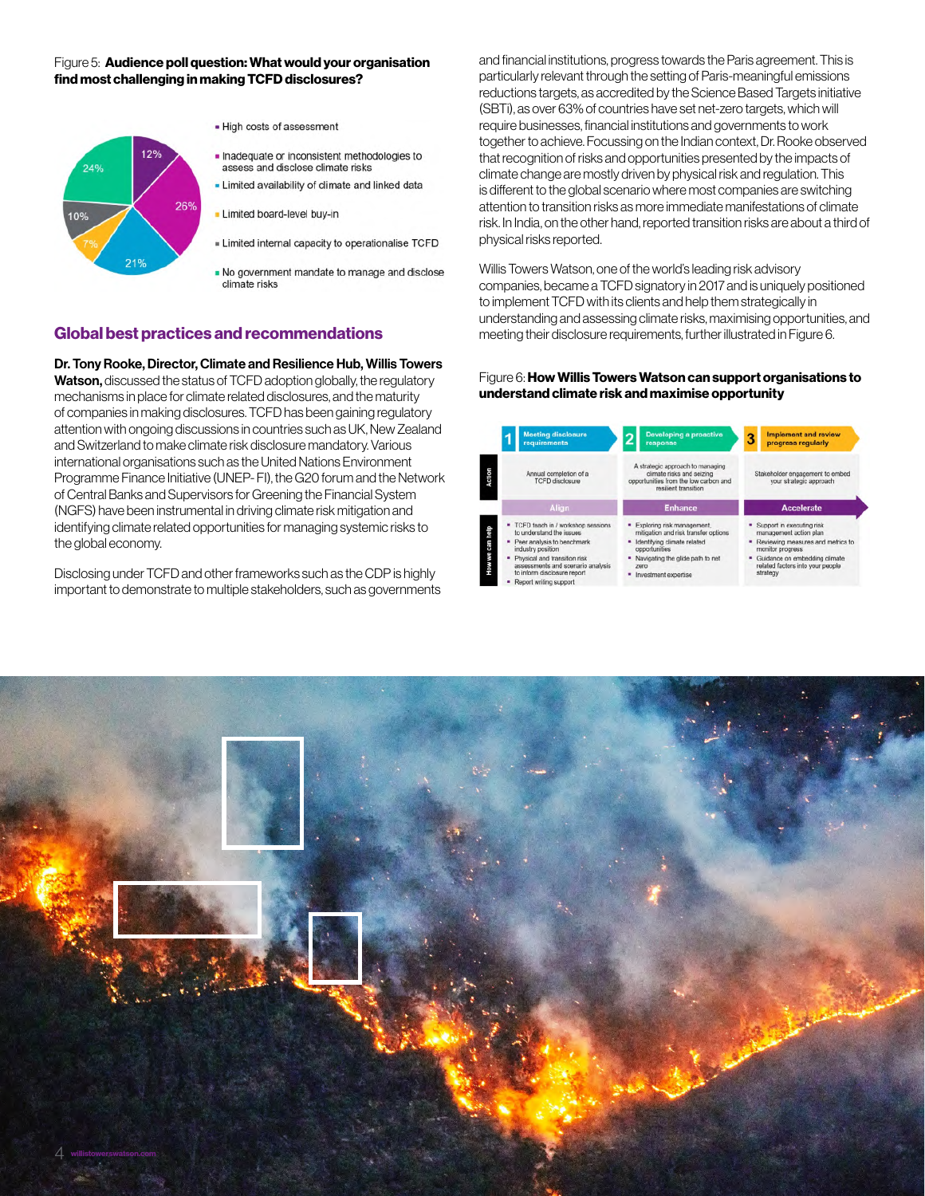#### Figure 5: Audience poll question: What would your organisation find most challenging in making TCFD disclosures?



. No government mandate to manage and disclose climate risks

### Global best practices and recommendations

Dr. Tony Rooke, Director, Climate and Resilience Hub, Willis Towers Watson, discussed the status of TCFD adoption globally, the regulatory mechanisms in place for climate related disclosures, and the maturity of companies in making disclosures. TCFD has been gaining regulatory attention with ongoing discussions in countries such as UK, New Zealand and Switzerland to make climate risk disclosure mandatory. Various international organisations such as the United Nations Environment Programme Finance Initiative (UNEP- FI), the G20 forum and the Network of Central Banks and Supervisors for Greening the Financial System (NGFS) have been instrumental in driving climate risk mitigation and identifying climate related opportunities for managing systemic risks to the global economy.

Disclosing under TCFD and other frameworks such as the CDP is highly important to demonstrate to multiple stakeholders, such as governments

and financial institutions, progress towards the Paris agreement. This is particularly relevant through the setting of Paris-meaningful emissions reductions targets, as accredited by the Science Based Targets initiative (SBTi), as over 63% of countries have set net-zero targets, which will require businesses, financial institutions and governments to work together to achieve. Focussing on the Indian context, Dr. Rooke observed that recognition of risks and opportunities presented by the impacts of climate change are mostly driven by physical risk and regulation. This is different to the global scenario where most companies are switching attention to transition risks as more immediate manifestations of climate risk. In India, on the other hand, reported transition risks are about a third of physical risks reported.

Willis Towers Watson, one of the world's leading risk advisory companies, became a TCFD signatory in 2017 and is uniquely positioned to implement TCFD with its clients and help them strategically in understanding and assessing climate risks, maximising opportunities, and meeting their disclosure requirements, further illustrated in Figure 6.

#### Figure 6: How Willis Towers Watson can support organisations to understand climate risk and maximise opportunity



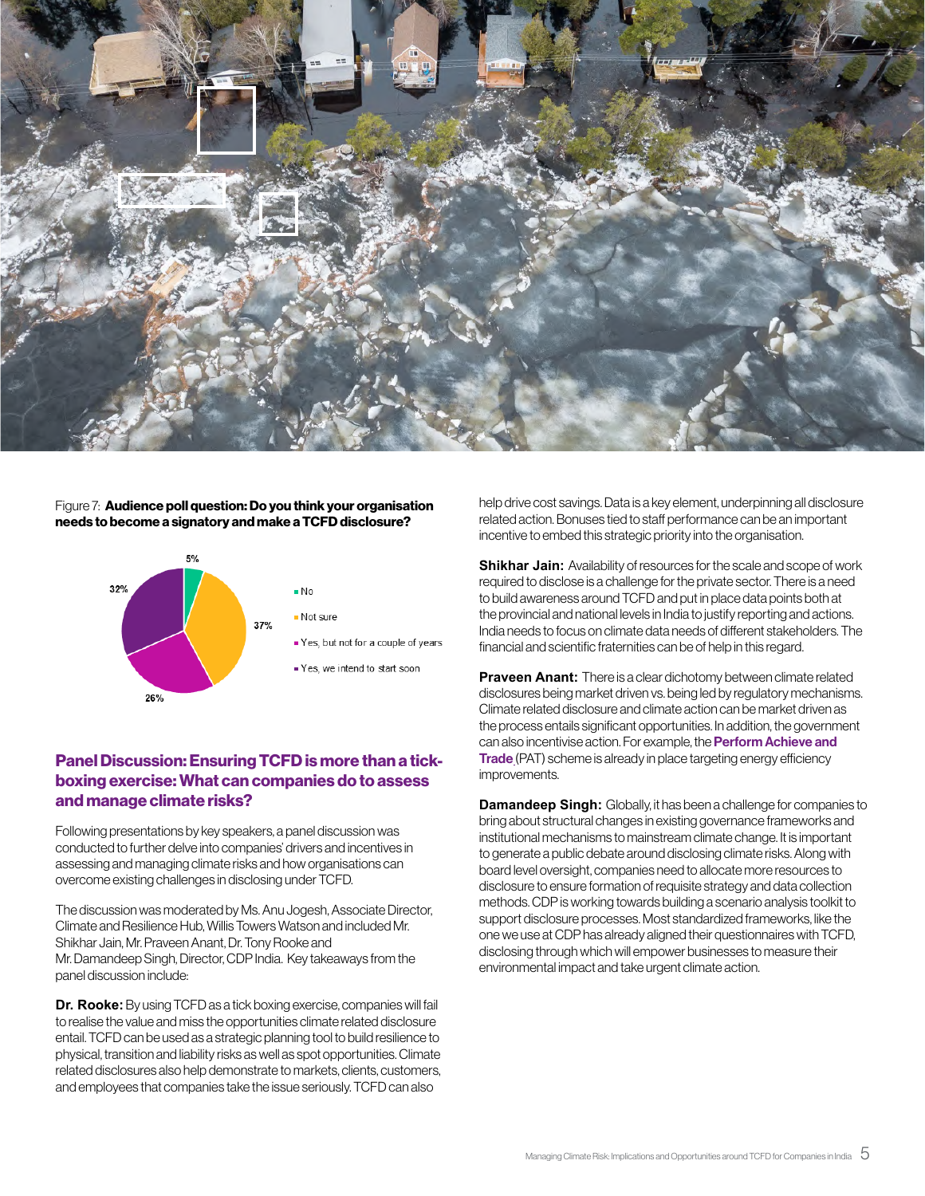

#### Figure 7: Audience poll question: Do you think your organisation needs to become a signatory and make a TCFD disclosure?



### Panel Discussion: Ensuring TCFD is more than a tickboxing exercise: What can companies do to assess and manage climate risks?

Following presentations by key speakers, a panel discussion was conducted to further delve into companies' drivers and incentives in assessing and managing climate risks and how organisations can overcome existing challenges in disclosing under TCFD.

The discussion was moderated by Ms. Anu Jogesh, Associate Director, Climate and Resilience Hub, Willis Towers Watson and included Mr. Shikhar Jain, Mr. Praveen Anant, Dr. Tony Rooke and Mr. Damandeep Singh, Director, CDP India. Key takeaways from the panel discussion include:

**Dr. Rooke:** By using TCFD as a tick boxing exercise, companies will fail to realise the value and miss the opportunities climate related disclosure entail. TCFD can be used as a strategic planning tool to build resilience to physical, transition and liability risks as well as spot opportunities. Climate related disclosures also help demonstrate to markets, clients, customers, and employees that companies take the issue seriously. TCFD can also

help drive cost savings. Data is a key element, underpinning all disclosure related action. Bonuses tied to staff performance can be an important incentive to embed this strategic priority into the organisation.

**Shikhar Jain:** Availability of resources for the scale and scope of work required to disclose is a challenge for the private sector. There is a need to build awareness around TCFD and put in place data points both at the provincial and national levels in India to justify reporting and actions. India needs to focus on climate data needs of different stakeholders. The financial and scientific fraternities can be of help in this regard.

**Praveen Anant:** There is a clear dichotomy between climate related disclosures being market driven vs. being led by regulatory mechanisms. Climate related disclosure and climate action can be market driven as the process entails significant opportunities. In addition, the government can also incentivise action. For example, the **Perform Achieve and [Trade](https://beeindia.gov.in/content/pat-3)** (PAT) scheme is already in place targeting energy efficiency improvements.

**Damandeep Singh:** Globally, it has been a challenge for companies to bring about structural changes in existing governance frameworks and institutional mechanisms to mainstream climate change. It is important to generate a public debate around disclosing climate risks. Along with board level oversight, companies need to allocate more resources to disclosure to ensure formation of requisite strategy and data collection methods. CDP is working towards building a scenario analysis toolkit to support disclosure processes. Most standardized frameworks, like the one we use at CDP has already aligned their questionnaires with TCFD, disclosing through which will empower businesses to measure their environmental impact and take urgent climate action.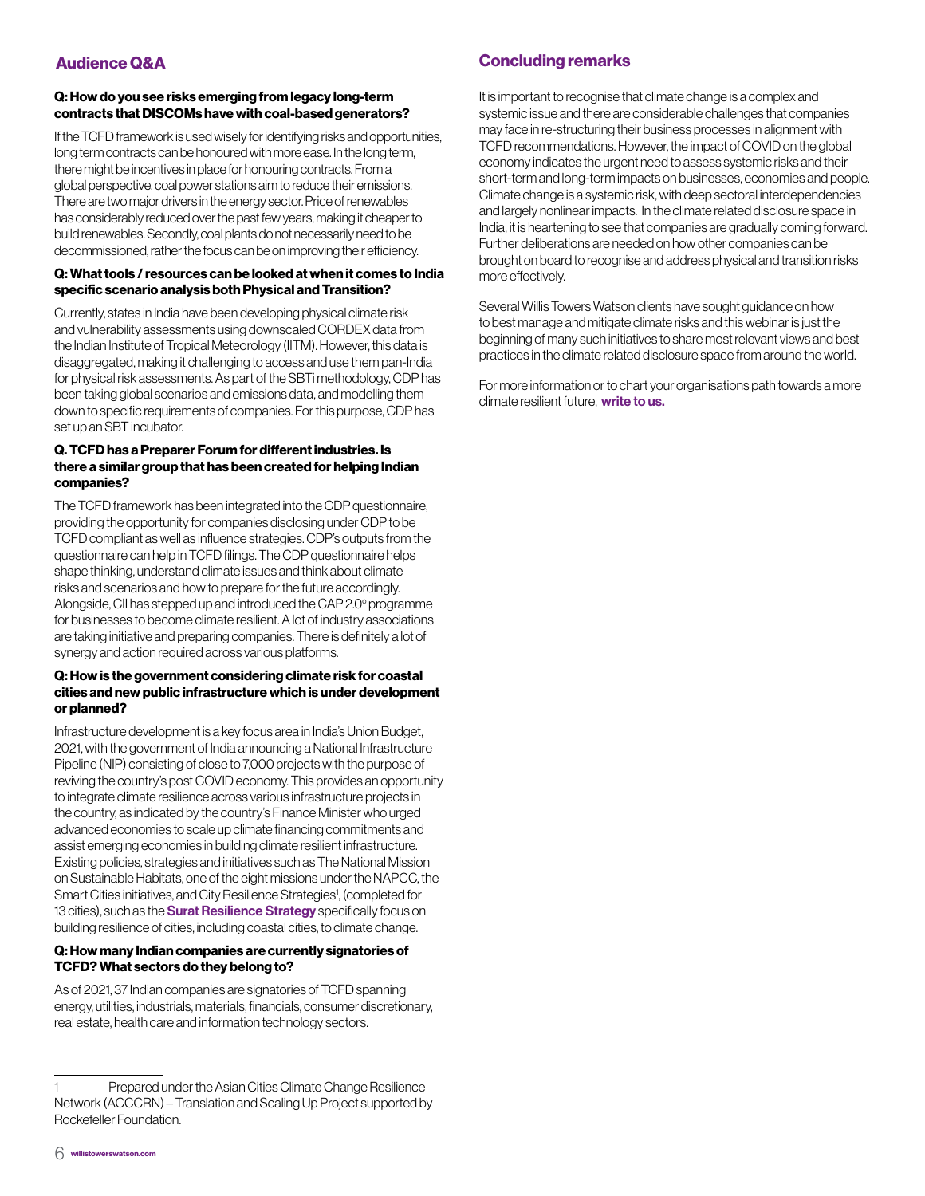#### Q: How do you see risks emerging from legacy long-term contracts that DISCOMs have with coal-based generators?

If the TCFD framework is used wisely for identifying risks and opportunities, long term contracts can be honoured with more ease. In the long term, there might be incentives in place for honouring contracts. From a global perspective, coal power stations aim to reduce their emissions. There are two major drivers in the energy sector. Price of renewables has considerably reduced over the past few years, making it cheaper to build renewables. Secondly, coal plants do not necessarily need to be decommissioned, rather the focus can be on improving their efficiency.

#### Q: What tools / resources can be looked at when it comes to India specific scenario analysis both Physical and Transition?

Currently, states in India have been developing physical climate risk and vulnerability assessments using downscaled CORDEX data from the Indian Institute of Tropical Meteorology (IITM). However, this data is disaggregated, making it challenging to access and use them pan-India for physical risk assessments. As part of the SBTi methodology, CDP has been taking global scenarios and emissions data, and modelling them down to specific requirements of companies. For this purpose, CDP has set up an SBT incubator.

#### Q. TCFD has a Preparer Forum for different industries. Is there a similar group that has been created for helping Indian companies?

The TCFD framework has been integrated into the CDP questionnaire, providing the opportunity for companies disclosing under CDP to be TCFD compliant as well as influence strategies. CDP's outputs from the questionnaire can help in TCFD filings. The CDP questionnaire helps shape thinking, understand climate issues and think about climate risks and scenarios and how to prepare for the future accordingly. Alongside, CII has stepped up and introduced the CAP 2.0° programme for businesses to become climate resilient. A lot of industry associations are taking initiative and preparing companies. There is definitely a lot of synergy and action required across various platforms.

#### Q: How is the government considering climate risk for coastal cities and new public infrastructure which is under development or planned?

Infrastructure development is a key focus area in India's Union Budget, 2021, with the government of India announcing a National Infrastructure Pipeline (NIP) consisting of close to 7,000 projects with the purpose of reviving the country's post COVID economy. This provides an opportunity to integrate climate resilience across various infrastructure projects in the country, as indicated by the country's Finance Minister who urged advanced economies to scale up climate financing commitments and assist emerging economies in building climate resilient infrastructure. Existing policies, strategies and initiatives such as The National Mission on Sustainable Habitats, one of the eight missions under the NAPCC, the Smart Cities initiatives, and City Resilience Strategies<sup>1</sup>, (completed for 13 cities), such as the **[Surat Resilience Strategy](https://resilientcitiesnetwork.org/downloadable_resources/Network/Surat-Resilience-Strategy-English.pdf)** specifically focus on building resilience of cities, including coastal cities, to climate change.

#### Q: How many Indian companies are currently signatories of TCFD? What sectors do they belong to?

As of 2021, 37 Indian companies are signatories of TCFD spanning energy, utilities, industrials, materials, financials, consumer discretionary, real estate, health care and information technology sectors.

It is important to recognise that climate change is a complex and systemic issue and there are considerable challenges that companies may face in re-structuring their business processes in alignment with TCFD recommendations. However, the impact of COVID on the global economy indicates the urgent need to assess systemic risks and their short-term and long-term impacts on businesses, economies and people. Climate change is a systemic risk, with deep sectoral interdependencies and largely nonlinear impacts. In the climate related disclosure space in India, it is heartening to see that companies are gradually coming forward. Further deliberations are needed on how other companies can be brought on board to recognise and address physical and transition risks more effectively.

Several Willis Towers Watson clients have sought guidance on how to best manage and mitigate climate risks and this webinar is just the beginning of many such initiatives to share most relevant views and best practices in the climate related disclosure space from around the world.

For more information or to chart your organisations path towards a more climate resilient future, [write to us.](mailto:marketing.india%40willistowerswatson.com?subject=Managing%20Climate%20Risks%20%E2%80%93%20Implications%20and%20Opportunities%20around%20TCFD%20for%20companies%20in%20India)

Prepared under the Asian Cities Climate Change Resilience Network (ACCCRN) – Translation and Scaling Up Project supported by Rockefeller Foundation.